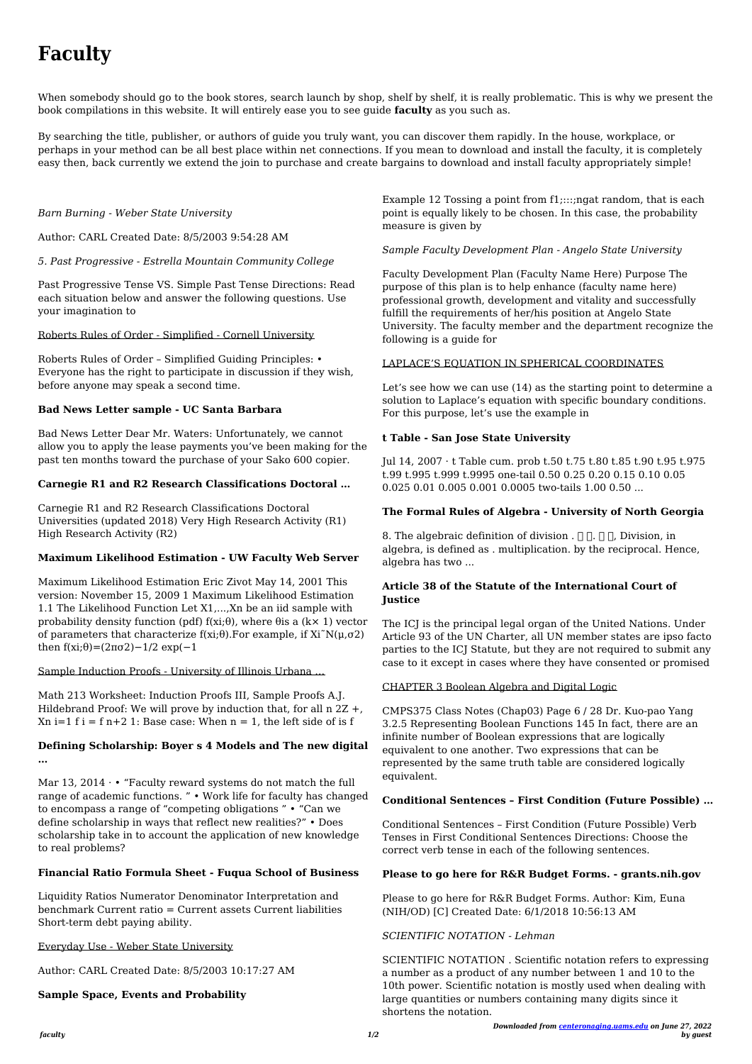*faculty 1/2*

*Downloaded from [centeronaging.uams.edu](http://centeronaging.uams.edu) on June 27, 2022 by guest*

# **Faculty**

When somebody should go to the book stores, search launch by shop, shelf by shelf, it is really problematic. This is why we present the book compilations in this website. It will entirely ease you to see guide **faculty** as you such as.

By searching the title, publisher, or authors of guide you truly want, you can discover them rapidly. In the house, workplace, or perhaps in your method can be all best place within net connections. If you mean to download and install the faculty, it is completely easy then, back currently we extend the join to purchase and create bargains to download and install faculty appropriately simple!

#### *Barn Burning - Weber State University*

Author: CARL Created Date: 8/5/2003 9:54:28 AM

*5. Past Progressive - Estrella Mountain Community College*

Maximum Likelihood Estimation Eric Zivot May 14, 2001 This version: November 15, 2009 1 Maximum Likelihood Estimation 1.1 The Likelihood Function Let X1,...,Xn be an iid sample with probability density function (pdf)  $f(xi;\theta)$ , where  $\theta$ is a (k× 1) vector of parameters that characterize  $f(xi;\theta)$ . For example, if  $Xi^rN(\mu,\sigma2)$ then  $f(xi;\theta) = (2\pi\sigma^2) - 1/2 \exp(-1)$ 

Past Progressive Tense VS. Simple Past Tense Directions: Read each situation below and answer the following questions. Use your imagination to

#### Roberts Rules of Order - Simplified - Cornell University

Math 213 Worksheet: Induction Proofs III, Sample Proofs A.J. Hildebrand Proof: We will prove by induction that, for all n 2Z +,  $Xn i=1$  f i = f n+2 1: Base case: When  $n = 1$ , the left side of is f

Roberts Rules of Order – Simplified Guiding Principles: • Everyone has the right to participate in discussion if they wish, before anyone may speak a second time.

#### **Bad News Letter sample - UC Santa Barbara**

Mar 13, 2014  $\cdot \cdot$  "Faculty reward systems do not match the full range of academic functions. " • Work life for faculty has changed

Bad News Letter Dear Mr. Waters: Unfortunately, we cannot allow you to apply the lease payments you've been making for the past ten months toward the purchase of your Sako 600 copier.

#### **Carnegie R1 and R2 Research Classifications Doctoral …**

Carnegie R1 and R2 Research Classifications Doctoral Universities (updated 2018) Very High Research Activity (R1) High Research Activity (R2)

Example 12 Tossing a point from f1;:::;ngat random, that is each point is equally likely to be chosen. In this case, the probability measure is given by

#### **Maximum Likelihood Estimation - UW Faculty Web Server**

#### Sample Induction Proofs - University of Illinois Urbana …

8. The algebraic definition of division .  $\Box$   $\Box$   $\Box$  Division, in algebra, is defined as . multiplication. by the reciprocal. Hence, algebra has two ...

#### **Defining Scholarship: Boyer s 4 Models and The new digital …**

to encompass a range of "competing obligations " • "Can we define scholarship in ways that reflect new realities?" • Does scholarship take in to account the application of new knowledge to real problems?

#### **Financial Ratio Formula Sheet - Fuqua School of Business**

Liquidity Ratios Numerator Denominator Interpretation and benchmark Current ratio = Current assets Current liabilities Short-term debt paying ability.

#### Everyday Use - Weber State University

Author: CARL Created Date: 8/5/2003 10:17:27 AM

#### **Sample Space, Events and Probability**

*Sample Faculty Development Plan - Angelo State University*

Faculty Development Plan (Faculty Name Here) Purpose The purpose of this plan is to help enhance (faculty name here) professional growth, development and vitality and successfully fulfill the requirements of her/his position at Angelo State University. The faculty member and the department recognize the following is a guide for

#### LAPLACE'S EQUATION IN SPHERICAL COORDINATES

Let's see how we can use (14) as the starting point to determine a solution to Laplace's equation with specific boundary conditions. For this purpose, let's use the example in

#### **t Table - San Jose State University**

Jul 14, 2007 · t Table cum. prob t.50 t.75 t.80 t.85 t.90 t.95 t.975 t.99 t.995 t.999 t.9995 one-tail 0.50 0.25 0.20 0.15 0.10 0.05 0.025 0.01 0.005 0.001 0.0005 two-tails 1.00 0.50 ...

#### **The Formal Rules of Algebra - University of North Georgia**

### **Article 38 of the Statute of the International Court of Justice**

The ICJ is the principal legal organ of the United Nations. Under Article 93 of the UN Charter, all UN member states are ipso facto parties to the ICJ Statute, but they are not required to submit any case to it except in cases where they have consented or promised

#### CHAPTER 3 Boolean Algebra and Digital Logic

CMPS375 Class Notes (Chap03) Page 6 / 28 Dr. Kuo-pao Yang 3.2.5 Representing Boolean Functions 145 In fact, there are an infinite number of Boolean expressions that are logically equivalent to one another. Two expressions that can be represented by the same truth table are considered logically equivalent.

#### **Conditional Sentences – First Condition (Future Possible) …**

Conditional Sentences – First Condition (Future Possible) Verb Tenses in First Conditional Sentences Directions: Choose the correct verb tense in each of the following sentences.

#### **Please to go here for R&R Budget Forms. - grants.nih.gov**

Please to go here for R&R Budget Forms. Author: Kim, Euna (NIH/OD) [C] Created Date: 6/1/2018 10:56:13 AM

*SCIENTIFIC NOTATION - Lehman*

SCIENTIFIC NOTATION . Scientific notation refers to expressing a number as a product of any number between 1 and 10 to the 10th power. Scientific notation is mostly used when dealing with large quantities or numbers containing many digits since it shortens the notation.